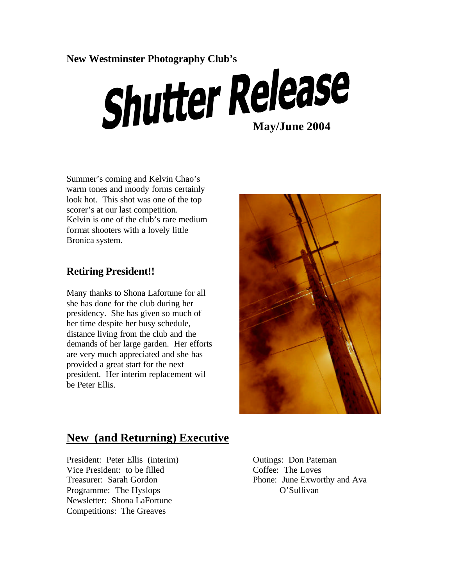# **New Westminster Photography Club's**

# **Shutter Release**

Summer's coming and Kelvin Chao's warm tones and moody forms certainly look hot. This shot was one of the top scorer's at our last competition. Kelvin is one of the club's rare medium format shooters with a lovely little Bronica system.

## **Retiring President!!**

Many thanks to Shona Lafortune for all she has done for the club during her presidency. She has given so much of her time despite her busy schedule, distance living from the club and the demands of her large garden. Her efforts are very much appreciated and she has provided a great start for the next president. Her interim replacement wil be Peter Ellis.



# **New (and Returning) Executive**

President: Peter Ellis (interim) Outings: Don Pateman Vice President: to be filled Coffee: The Loves Programme: The Hyslops O'Sullivan Newsletter: Shona LaFortune Competitions: The Greaves

Treasurer: Sarah Gordon Phone: June Exworthy and Ava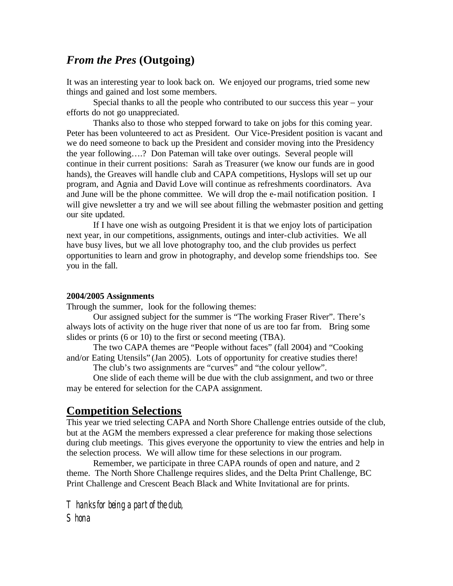## *From the Pres* **(Outgoing)**

It was an interesting year to look back on. We enjoyed our programs, tried some new things and gained and lost some members.

Special thanks to all the people who contributed to our success this year – your efforts do not go unappreciated.

Thanks also to those who stepped forward to take on jobs for this coming year. Peter has been volunteered to act as President. Our Vice-President position is vacant and we do need someone to back up the President and consider moving into the Presidency the year following….? Don Pateman will take over outings. Several people will continue in their current positions: Sarah as Treasurer (we know our funds are in good hands), the Greaves will handle club and CAPA competitions, Hyslops will set up our program, and Agnia and David Love will continue as refreshments coordinators. Ava and June will be the phone committee. We will drop the e-mail notification position. I will give newsletter a try and we will see about filling the webmaster position and getting our site updated.

If I have one wish as outgoing President it is that we enjoy lots of participation next year, in our competitions, assignments, outings and inter-club activities. We all have busy lives, but we all love photography too, and the club provides us perfect opportunities to learn and grow in photography, and develop some friendships too. See you in the fall.

#### **2004/2005 Assignments**

Through the summer, look for the following themes:

Our assigned subject for the summer is "The working Fraser River". There's always lots of activity on the huge river that none of us are too far from. Bring some slides or prints (6 or 10) to the first or second meeting (TBA).

The two CAPA themes are "People without faces" (fall 2004) and "Cooking and/or Eating Utensils" (Jan 2005). Lots of opportunity for creative studies there!

The club's two assignments are "curves" and "the colour yellow".

One slide of each theme will be due with the club assignment, and two or three may be entered for selection for the CAPA assignment.

## **Competition Selections**

This year we tried selecting CAPA and North Shore Challenge entries outside of the club, but at the AGM the members expressed a clear preference for making those selections during club meetings. This gives everyone the opportunity to view the entries and help in the selection process. We will allow time for these selections in our program.

Remember, we participate in three CAPA rounds of open and nature, and 2 theme. The North Shore Challenge requires slides, and the Delta Print Challenge, BC Print Challenge and Crescent Beach Black and White Invitational are for prints.

Thanks for being a part of the club, **Shona**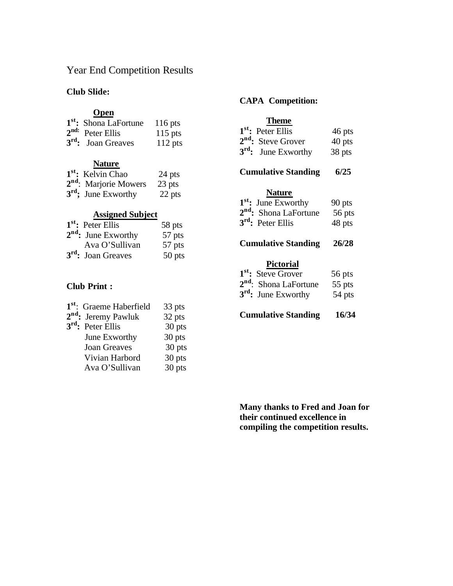### Year End Competition Results

#### **Club Slide:**

#### **Open**

| 1 <sup>st</sup> : Shona LaFortune | $116$ pts |
|-----------------------------------|-----------|
| $2nd$ : Peter Ellis               | $115$ pts |
| $3rd$ : Joan Greaves              | $112$ pts |

#### **Nature**

| 1 <sup>st</sup> : Kelvin Chao     | 24 pts |
|-----------------------------------|--------|
| 2 <sup>nd</sup> : Marjorie Mowers | 23 pts |
| $3rd$ ; June Exworthy             | 22 pts |

#### **Assigned Subject**

| $1st$ : Peter Ellis            | 58 pts |
|--------------------------------|--------|
| $2nd$ : June Exworthy          | 57 pts |
| Ava O'Sullivan                 | 57 pts |
| 3 <sup>rd</sup> : Joan Greaves | 50 pts |

#### **Club Print :**

| 1 <sup>st</sup> : Graeme Haberfield | 33 pts |
|-------------------------------------|--------|
| $2nd$ : Jeremy Pawluk               | 32 pts |
| 3 <sup>rd</sup> : Peter Ellis       | 30 pts |
| June Exworthy                       | 30 pts |
| <b>Joan Greaves</b>                 | 30 pts |
| Vivian Harbord                      | 30 pts |
| Ava O'Sullivan                      | 30 pts |
|                                     |        |

#### **CAPA Competition:**

#### **Theme**

| 1 <sup>st</sup> : Peter Ellis  | 46 pts |
|--------------------------------|--------|
| 2 <sup>nd</sup> : Steve Grover | 40 pts |
| $3^{rd}$ : June Exworthy       | 38 pts |

#### **Cumulative Standing 6/25**

#### **Nature**

| $1st$ : June Exworthy             | $90$ pts |
|-----------------------------------|----------|
| 2 <sup>nd</sup> : Shona LaFortune | 56 pts   |
| $3rd$ : Peter Ellis               | 48 pts   |

#### **Cumulative Standing 26/28**

#### **Pictorial**

| 1 <sup>st</sup> : Steve Grover    | 56 pts |
|-----------------------------------|--------|
| 2 <sup>nd</sup> : Shona LaFortune | 55 pts |
| 3 <sup>rd</sup> : June Exworthy   | 54 pts |

**Cumulative Standing 16/34**

**Many thanks to Fred and Joan for their continued excellence in compiling the competition results.**